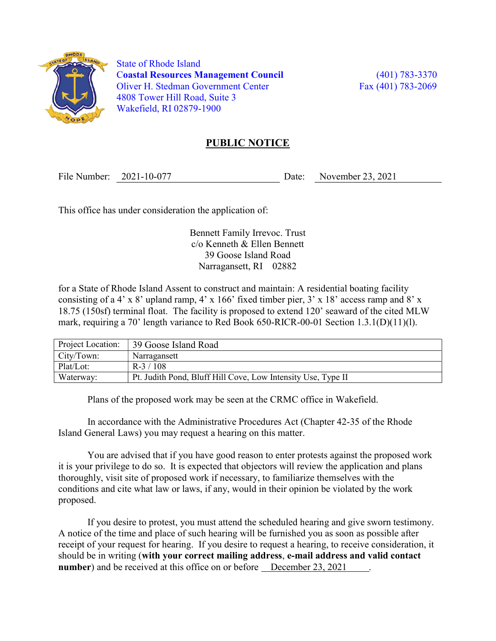

 State of Rhode Island Coastal Resources Management Council (401) 783-3370 Oliver H. Stedman Government Center Fax (401) 783-2069 4808 Tower Hill Road, Suite 3 Wakefield, RI 02879-1900

## PUBLIC NOTICE

File Number: 2021-10-077 Date: November 23, 2021

This office has under consideration the application of:

Bennett Family Irrevoc. Trust c/o Kenneth & Ellen Bennett 39 Goose Island Road Narragansett, RI 02882

for a State of Rhode Island Assent to construct and maintain: A residential boating facility consisting of a 4' x 8' upland ramp, 4' x 166' fixed timber pier, 3' x 18' access ramp and 8' x 18.75 (150sf) terminal float. The facility is proposed to extend 120' seaward of the cited MLW mark, requiring a 70' length variance to Red Book 650-RICR-00-01 Section 1.3.1(D)(11)(l).

| Project Location: | 39 Goose Island Road                                         |
|-------------------|--------------------------------------------------------------|
| City/Town:        | Narragansett                                                 |
| Plat/Lot:         | $R-3/108$                                                    |
| Waterway:         | Pt. Judith Pond, Bluff Hill Cove, Low Intensity Use, Type II |

Plans of the proposed work may be seen at the CRMC office in Wakefield.

In accordance with the Administrative Procedures Act (Chapter 42-35 of the Rhode Island General Laws) you may request a hearing on this matter.

You are advised that if you have good reason to enter protests against the proposed work it is your privilege to do so. It is expected that objectors will review the application and plans thoroughly, visit site of proposed work if necessary, to familiarize themselves with the conditions and cite what law or laws, if any, would in their opinion be violated by the work proposed.

If you desire to protest, you must attend the scheduled hearing and give sworn testimony. A notice of the time and place of such hearing will be furnished you as soon as possible after receipt of your request for hearing. If you desire to request a hearing, to receive consideration, it should be in writing (with your correct mailing address, e-mail address and valid contact number) and be received at this office on or before December 23, 2021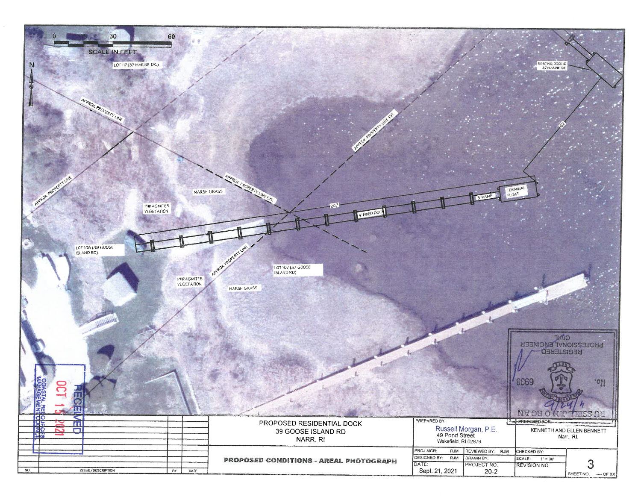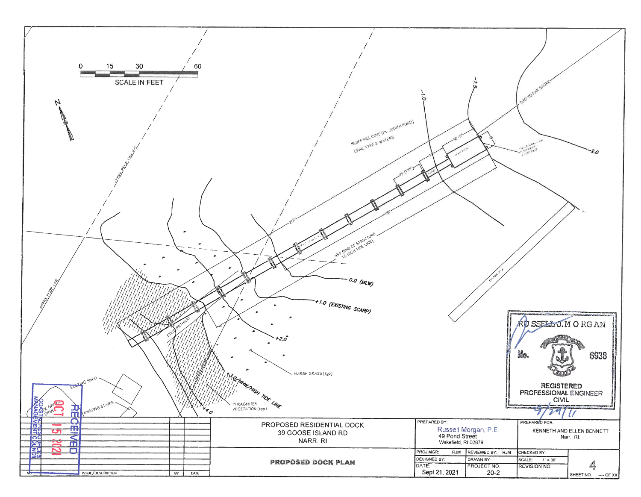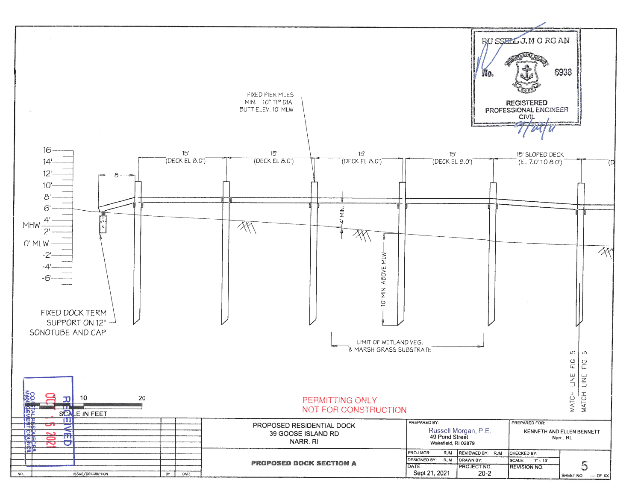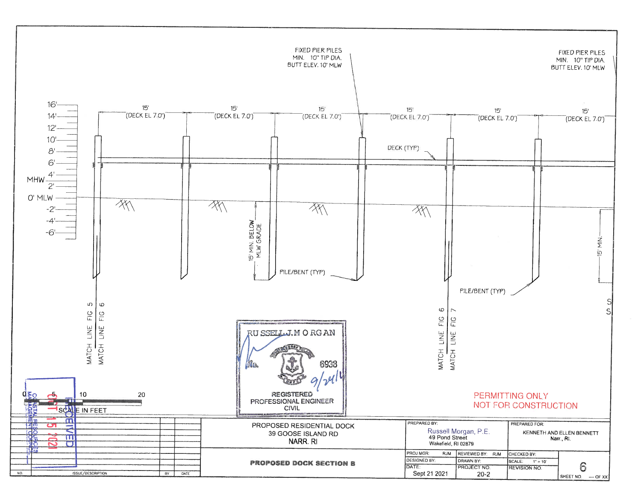